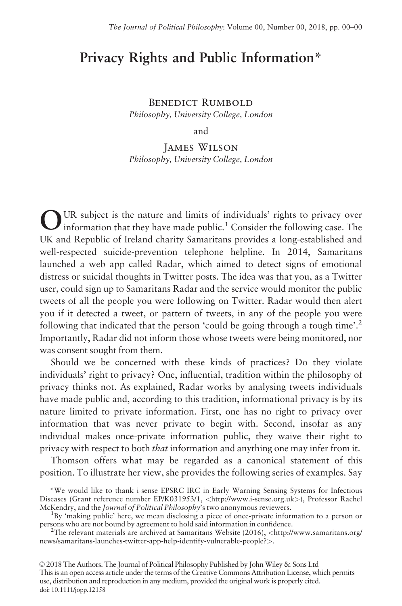# Privacy Rights and Public Information\*

Benedict Rumbold

Philosophy, University College, London

and

James Wilson Philosophy, University College, London

OUR subject is the nature and limits of individuals' rights to privacy over<br>information that they have made public.<sup>1</sup> Consider the following case. The UK and Republic of Ireland charity Samaritans provides a long-established and well-respected suicide-prevention telephone helpline. In 2014, Samaritans launched a web app called Radar, which aimed to detect signs of emotional distress or suicidal thoughts in Twitter posts. The idea was that you, as a Twitter user, could sign up to Samaritans Radar and the service would monitor the public tweets of all the people you were following on Twitter. Radar would then alert you if it detected a tweet, or pattern of tweets, in any of the people you were following that indicated that the person 'could be going through a tough time'.<sup>2</sup> Importantly, Radar did not inform those whose tweets were being monitored, nor was consent sought from them.

Should we be concerned with these kinds of practices? Do they violate individuals' right to privacy? One, influential, tradition within the philosophy of privacy thinks not. As explained, Radar works by analysing tweets individuals have made public and, according to this tradition, informational privacy is by its nature limited to private information. First, one has no right to privacy over information that was never private to begin with. Second, insofar as any individual makes once-private information public, they waive their right to privacy with respect to both *that* information and anything one may infer from it.

Thomson offers what may be regarded as a canonical statement of this position. To illustrate her view, she provides the following series of examples. Say

<sup>\*</sup>We would like to thank i-sense EPSRC IRC in Early Warning Sensing Systems for Infectious Diseases (Grant reference number EP/K031953/1, <<http://www.i-sense.org.uk>>), Professor Rachel McKendry, and the Journal of Political Philosophy's two anonymous reviewers.

By 'making public' here, we mean disclosing a piece of once-private information to a person or persons who are not bound by agreement to hold said information in confidence. <sup>2</sup>

<sup>&</sup>lt;sup>2</sup>The relevant materials are archived at Samaritans Website (2016), <[http://www.samaritans.org/](http://www.samaritans.org/news/samaritans-launches-twitter-app-help-identify-vulnerable-people?) [news/samaritans-launches-twitter-app-help-identify-vulnerable-people?](http://www.samaritans.org/news/samaritans-launches-twitter-app-help-identify-vulnerable-people?)>.

V<sup>C</sup> 2018 The Authors. The Journal of Political Philosophy Published by John Wiley & Sons Ltd This is an open access article under the terms of the [Creative Commons Attribution](http://creativecommons.org/licenses/by/4.0/) License, which permits use, distribution and reproduction in any medium, provided the original work is properly cited. doi: 10.1111/jopp.12158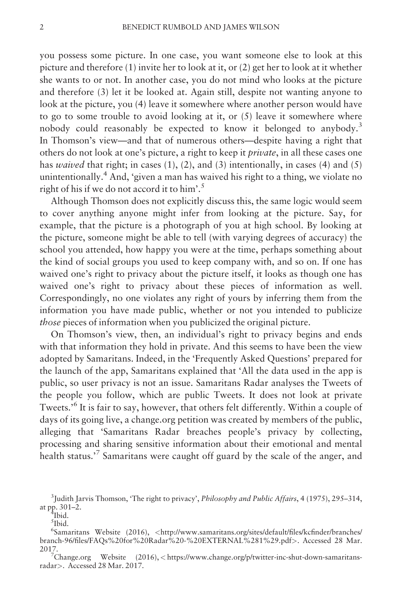you possess some picture. In one case, you want someone else to look at this picture and therefore (1) invite her to look at it, or (2) get her to look at it whether she wants to or not. In another case, you do not mind who looks at the picture and therefore (3) let it be looked at. Again still, despite not wanting anyone to look at the picture, you (4) leave it somewhere where another person would have to go to some trouble to avoid looking at it, or (5) leave it somewhere where nobody could reasonably be expected to know it belonged to anybody.3 In Thomson's view—and that of numerous others—despite having a right that others do not look at one's picture, a right to keep it private, in all these cases one has *waived* that right; in cases (1), (2), and (3) intentionally, in cases (4) and (5) unintentionally.4 And, 'given a man has waived his right to a thing, we violate no right of his if we do not accord it to him'.<sup>5</sup>

Although Thomson does not explicitly discuss this, the same logic would seem to cover anything anyone might infer from looking at the picture. Say, for example, that the picture is a photograph of you at high school. By looking at the picture, someone might be able to tell (with varying degrees of accuracy) the school you attended, how happy you were at the time, perhaps something about the kind of social groups you used to keep company with, and so on. If one has waived one's right to privacy about the picture itself, it looks as though one has waived one's right to privacy about these pieces of information as well. Correspondingly, no one violates any right of yours by inferring them from the information you have made public, whether or not you intended to publicize those pieces of information when you publicized the original picture.

On Thomson's view, then, an individual's right to privacy begins and ends with that information they hold in private. And this seems to have been the view adopted by Samaritans. Indeed, in the 'Frequently Asked Questions' prepared for the launch of the app, Samaritans explained that 'All the data used in the app is public, so user privacy is not an issue. Samaritans Radar analyses the Tweets of the people you follow, which are public Tweets. It does not look at private Tweets.'<sup>6</sup> It is fair to say, however, that others felt differently. Within a couple of days of its going live, a change.org petition was created by members of the public, alleging that 'Samaritans Radar breaches people's privacy by collecting, processing and sharing sensitive information about their emotional and mental health status.'7 Samaritans were caught off guard by the scale of the anger, and

 $^7$ Change.org Website (2016), < [https://www.change.org/p/twitter-inc-shut-down-samaritans](https://www.change.org/p/twitter-inc-shut-down-samaritans-radar)[radar](https://www.change.org/p/twitter-inc-shut-down-samaritans-radar)>. Accessed 28 Mar. 2017.

<sup>&</sup>lt;sup>3</sup>Judith Jarvis Thomson, 'The right to privacy', Philosophy and Public Affairs, 4 (1975), 295-314, at pp. 301–2.<br><sup>4</sup>Ibid.

<sup>5</sup> Ibid.

<sup>&</sup>lt;sup>6</sup>Samaritans Website (2016), <[http://www.samaritans.org/sites/default/files/kcfinder/branches/](http://www.samaritans.org/sites/default/files/kcfinder/branches/branch-96/files/FAQs%20for%20Radar%20-%20EXTERNAL%281%29.pdf) [branch-96/files/FAQs%20for%20Radar%20-%20EXTERNAL%281%29.pdf](http://www.samaritans.org/sites/default/files/kcfinder/branches/branch-96/files/FAQs%20for%20Radar%20-%20EXTERNAL%281%29.pdf)>. Accessed 28 Mar. 2017.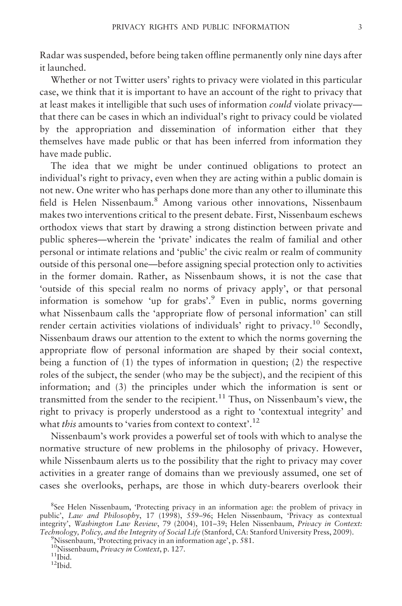Radar was suspended, before being taken offline permanently only nine days after it launched.

Whether or not Twitter users' rights to privacy were violated in this particular case, we think that it is important to have an account of the right to privacy that at least makes it intelligible that such uses of information could violate privacy that there can be cases in which an individual's right to privacy could be violated by the appropriation and dissemination of information either that they themselves have made public or that has been inferred from information they have made public.

The idea that we might be under continued obligations to protect an individual's right to privacy, even when they are acting within a public domain is not new. One writer who has perhaps done more than any other to illuminate this field is Helen Nissenbaum.<sup>8</sup> Among various other innovations, Nissenbaum makes two interventions critical to the present debate. First, Nissenbaum eschews orthodox views that start by drawing a strong distinction between private and public spheres—wherein the 'private' indicates the realm of familial and other personal or intimate relations and 'public' the civic realm or realm of community outside of this personal one—before assigning special protection only to activities in the former domain. Rather, as Nissenbaum shows, it is not the case that 'outside of this special realm no norms of privacy apply', or that personal information is somehow 'up for grabs'.<sup>9</sup> Even in public, norms governing what Nissenbaum calls the 'appropriate flow of personal information' can still render certain activities violations of individuals' right to privacy.<sup>10</sup> Secondly, Nissenbaum draws our attention to the extent to which the norms governing the appropriate flow of personal information are shaped by their social context, being a function of (1) the types of information in question; (2) the respective roles of the subject, the sender (who may be the subject), and the recipient of this information; and (3) the principles under which the information is sent or transmitted from the sender to the recipient.<sup>11</sup> Thus, on Nissenbaum's view, the right to privacy is properly understood as a right to 'contextual integrity' and what *this* amounts to 'varies from context to context'.<sup>12</sup>

Nissenbaum's work provides a powerful set of tools with which to analyse the normative structure of new problems in the philosophy of privacy. However, while Nissenbaum alerts us to the possibility that the right to privacy may cover activities in a greater range of domains than we previously assumed, one set of cases she overlooks, perhaps, are those in which duty-bearers overlook their

<sup>&</sup>lt;sup>8</sup>See Helen Nissenbaum, 'Protecting privacy in an information age: the problem of privacy in public', Law and Philosophy, 17 (1998), 559-96; Helen Nissenbaum, 'Privacy as contextual integrity', Washington Law Review, 79 (2004), 101–39; Helen Nissenbaum, Privacy in Context: Technology, Policy, and the Integrity of Social Life (Stanford, CA: Stanford University Press, 2009).

Nissenbaum, 'Protecting privacy in an information age', p. 581.

<sup>&</sup>lt;sup>10</sup>Nissenbaum, *Privacy in Context*, p. 127.<br><sup>11</sup>Ibid. <sup>12</sup>Ibid.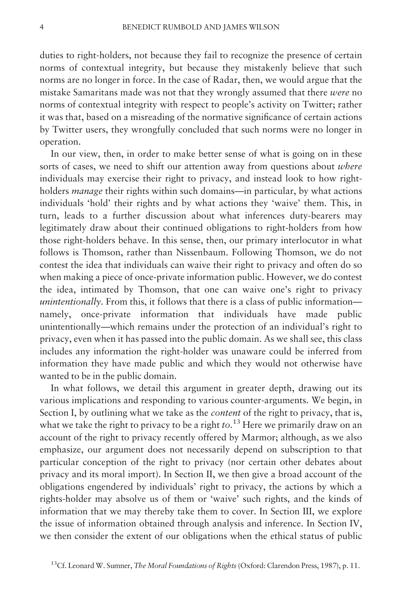duties to right-holders, not because they fail to recognize the presence of certain norms of contextual integrity, but because they mistakenly believe that such norms are no longer in force. In the case of Radar, then, we would argue that the mistake Samaritans made was not that they wrongly assumed that there were no norms of contextual integrity with respect to people's activity on Twitter; rather it was that, based on a misreading of the normative significance of certain actions by Twitter users, they wrongfully concluded that such norms were no longer in operation.

In our view, then, in order to make better sense of what is going on in these sorts of cases, we need to shift our attention away from questions about where individuals may exercise their right to privacy, and instead look to how rightholders *manage* their rights within such domains—in particular, by what actions individuals 'hold' their rights and by what actions they 'waive' them. This, in turn, leads to a further discussion about what inferences duty-bearers may legitimately draw about their continued obligations to right-holders from how those right-holders behave. In this sense, then, our primary interlocutor in what follows is Thomson, rather than Nissenbaum. Following Thomson, we do not contest the idea that individuals can waive their right to privacy and often do so when making a piece of once-private information public. However, we do contest the idea, intimated by Thomson, that one can waive one's right to privacy unintentionally. From this, it follows that there is a class of public information namely, once-private information that individuals have made public unintentionally—which remains under the protection of an individual's right to privacy, even when it has passed into the public domain. As we shall see, this class includes any information the right-holder was unaware could be inferred from information they have made public and which they would not otherwise have wanted to be in the public domain.

In what follows, we detail this argument in greater depth, drawing out its various implications and responding to various counter-arguments. We begin, in Section I, by outlining what we take as the *content* of the right to privacy, that is, what we take the right to privacy to be a right  $to.^{13}$  Here we primarily draw on an account of the right to privacy recently offered by Marmor; although, as we also emphasize, our argument does not necessarily depend on subscription to that particular conception of the right to privacy (nor certain other debates about privacy and its moral import). In Section II, we then give a broad account of the obligations engendered by individuals' right to privacy, the actions by which a rights-holder may absolve us of them or 'waive' such rights, and the kinds of information that we may thereby take them to cover. In Section III, we explore the issue of information obtained through analysis and inference. In Section IV, we then consider the extent of our obligations when the ethical status of public

<sup>&</sup>lt;sup>13</sup>Cf. Leonard W. Sumner, *The Moral Foundations of Rights* (Oxford: Clarendon Press, 1987), p. 11.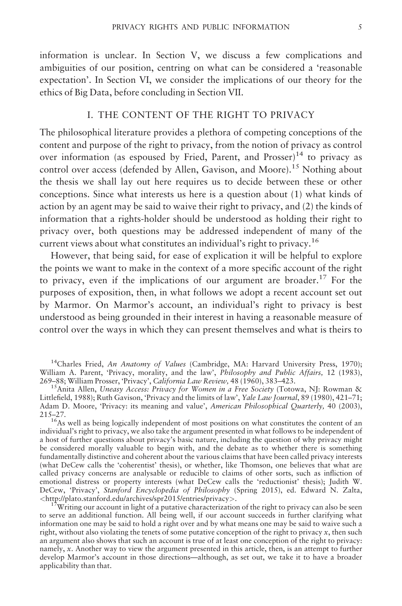information is unclear. In Section V, we discuss a few complications and ambiguities of our position, centring on what can be considered a 'reasonable expectation'. In Section VI, we consider the implications of our theory for the ethics of Big Data, before concluding in Section VII.

#### I. THE CONTENT OF THE RIGHT TO PRIVACY

The philosophical literature provides a plethora of competing conceptions of the content and purpose of the right to privacy, from the notion of privacy as control over information (as espoused by Fried, Parent, and Prosser) $14$  to privacy as control over access (defended by Allen, Gavison, and Moore).<sup>15</sup> Nothing about the thesis we shall lay out here requires us to decide between these or other conceptions. Since what interests us here is a question about (1) what kinds of action by an agent may be said to waive their right to privacy, and (2) the kinds of information that a rights-holder should be understood as holding their right to privacy over, both questions may be addressed independent of many of the current views about what constitutes an individual's right to privacy.<sup>16</sup>

However, that being said, for ease of explication it will be helpful to explore the points we want to make in the context of a more specific account of the right to privacy, even if the implications of our argument are broader.<sup>17</sup> For the purposes of exposition, then, in what follows we adopt a recent account set out by Marmor. On Marmor's account, an individual's right to privacy is best understood as being grounded in their interest in having a reasonable measure of control over the ways in which they can present themselves and what is theirs to

Writing our account in light of a putative characterization of the right to privacy can also be seen to serve an additional function. All being well, if our account succeeds in further clarifying what information one may be said to hold a right over and by what means one may be said to waive such a right, without also violating the tenets of some putative conception of the right to privacy  $x$ , then such an argument also shows that such an account is true of at least one conception of the right to privacy: namely, x. Another way to view the argument presented in this article, then, is an attempt to further develop Marmor's account in those directions—although, as set out, we take it to have a broader applicability than that.

<sup>&</sup>lt;sup>14</sup>Charles Fried, An Anatomy of Values (Cambridge, MA: Harvard University Press, 1970); William A. Parent, 'Privacy, morality, and the law', *Philosophy and Public Affairs*, 12 (1983), 269–88; William Prosser, 'Privacy', *California Law Review*, 48 (1960), 383–423.

<sup>&</sup>lt;sup>15</sup>Anita Allen, Uneasy Access: Privacy for Women in a Free Society (Totowa, NJ: Rowman & Littlefield, 1988); Ruth Gavison, 'Privacy and the limits of law', Yale Law Journal, 89 (1980), 421–71; Adam D. Moore, 'Privacy: its meaning and value', American Philosophical Quarterly, 40 (2003), 215–27.<br><sup>16</sup>As well as being logically independent of most positions on what constitutes the content of an

individual's right to privacy, we also take the argument presented in what follows to be independent of a host of further questions about privacy's basic nature, including the question of why privacy might be considered morally valuable to begin with, and the debate as to whether there is something fundamentally distinctive and coherent about the various claims that have been called privacy interests (what DeCew calls the 'coherentist' thesis), or whether, like Thomson, one believes that what are called privacy concerns are analysable or reducible to claims of other sorts, such as infliction of emotional distress or property interests (what DeCew calls the 'reductionist' thesis); Judith W. DeCew, 'Privacy', Stanford Encyclopedia of Philosophy (Spring 2015), ed. Edward N. Zalta, <http://plato.stanford.edu/archives/spr2015/entries/privacy>.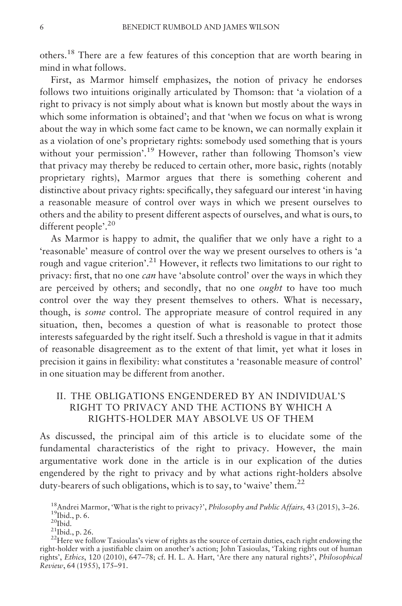others.<sup>18</sup> There are a few features of this conception that are worth bearing in mind in what follows.

First, as Marmor himself emphasizes, the notion of privacy he endorses follows two intuitions originally articulated by Thomson: that 'a violation of a right to privacy is not simply about what is known but mostly about the ways in which some information is obtained'; and that 'when we focus on what is wrong about the way in which some fact came to be known, we can normally explain it as a violation of one's proprietary rights: somebody used something that is yours without your permission'.<sup>19</sup> However, rather than following Thomson's view that privacy may thereby be reduced to certain other, more basic, rights (notably proprietary rights), Marmor argues that there is something coherent and distinctive about privacy rights: specifically, they safeguard our interest 'in having a reasonable measure of control over ways in which we present ourselves to others and the ability to present different aspects of ourselves, and what is ours, to different people'.<sup>20</sup>

As Marmor is happy to admit, the qualifier that we only have a right to a 'reasonable' measure of control over the way we present ourselves to others is 'a rough and vague criterion'.<sup>21</sup> However, it reflects two limitations to our right to privacy: first, that no one *can* have 'absolute control' over the ways in which they are perceived by others; and secondly, that no one ought to have too much control over the way they present themselves to others. What is necessary, though, is some control. The appropriate measure of control required in any situation, then, becomes a question of what is reasonable to protect those interests safeguarded by the right itself. Such a threshold is vague in that it admits of reasonable disagreement as to the extent of that limit, yet what it loses in precision it gains in flexibility: what constitutes a 'reasonable measure of control' in one situation may be different from another.

## II. THE OBLIGATIONS ENGENDERED BY AN INDIVIDUAL'S RIGHT TO PRIVACY AND THE ACTIONS BY WHICH A RIGHTS-HOLDER MAY ABSOLVE US OF THEM

As discussed, the principal aim of this article is to elucidate some of the fundamental characteristics of the right to privacy. However, the main argumentative work done in the article is in our explication of the duties engendered by the right to privacy and by what actions right-holders absolve duty-bearers of such obligations, which is to say, to 'waive' them.<sup>22</sup>

<sup>&</sup>lt;sup>18</sup> Andrei Marmor, 'What is the right to privacy?', *Philosophy and Public Affairs*, 43 (2015), 3–26.<br><sup>19</sup>Ibid., p. 6.<br><sup>20</sup>Ibid.<br><sup>21</sup>Ibid., p. 26.<br><sup>22</sup>Here we follow Tasioulas's view of rights as the source of certain du

right-holder with a justifiable claim on another's action; John Tasioulas, 'Taking rights out of human rights', Ethics, 120 (2010), 647–78; cf. H. L. A. Hart, 'Are there any natural rights?', Philosophical Review, 64 (1955), 175–91.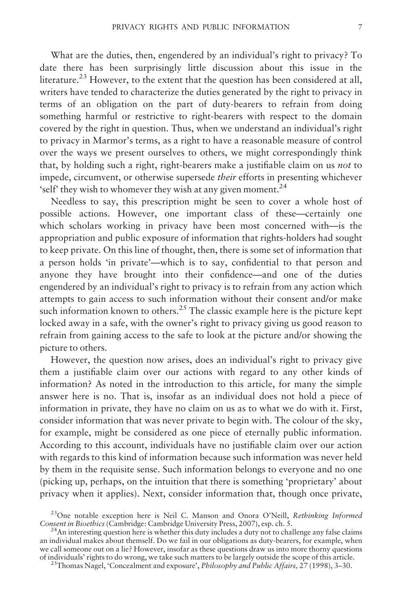What are the duties, then, engendered by an individual's right to privacy? To date there has been surprisingly little discussion about this issue in the literature.<sup>23</sup> However, to the extent that the question has been considered at all, writers have tended to characterize the duties generated by the right to privacy in terms of an obligation on the part of duty-bearers to refrain from doing something harmful or restrictive to right-bearers with respect to the domain covered by the right in question. Thus, when we understand an individual's right to privacy in Marmor's terms, as a right to have a reasonable measure of control over the ways we present ourselves to others, we might correspondingly think that, by holding such a right, right-bearers make a justifiable claim on us not to impede, circumvent, or otherwise supersede their efforts in presenting whichever 'self' they wish to whomever they wish at any given moment.<sup>24</sup>

Needless to say, this prescription might be seen to cover a whole host of possible actions. However, one important class of these—certainly one which scholars working in privacy have been most concerned with—is the appropriation and public exposure of information that rights-holders had sought to keep private. On this line of thought, then, there is some set of information that a person holds 'in private'—which is to say, confidential to that person and anyone they have brought into their confidence—and one of the duties engendered by an individual's right to privacy is to refrain from any action which attempts to gain access to such information without their consent and/or make such information known to others.<sup>25</sup> The classic example here is the picture kept locked away in a safe, with the owner's right to privacy giving us good reason to refrain from gaining access to the safe to look at the picture and/or showing the picture to others.

However, the question now arises, does an individual's right to privacy give them a justifiable claim over our actions with regard to any other kinds of information? As noted in the introduction to this article, for many the simple answer here is no. That is, insofar as an individual does not hold a piece of information in private, they have no claim on us as to what we do with it. First, consider information that was never private to begin with. The colour of the sky, for example, might be considered as one piece of eternally public information. According to this account, individuals have no justifiable claim over our action with regards to this kind of information because such information was never held by them in the requisite sense. Such information belongs to everyone and no one (picking up, perhaps, on the intuition that there is something 'proprietary' about privacy when it applies). Next, consider information that, though once private,

<sup>&</sup>lt;sup>23</sup>One notable exception here is Neil C. Manson and Onora O'Neill, *Rethinking Informed* Consent in Bioethics (Cambridge: Cambridge University Press, 2007), esp. ch. 5.

<sup>&</sup>lt;sup>24</sup>An interesting question here is whether this duty includes a duty not to challenge any false claims an individual makes about themself. Do we fail in our obligations as duty-bearers, for example, when we call someone out on a lie? However, insofar as these questions draw us into more thorny questions of individuals' rights to do wrong, we take such matters to be largely outside the scope of this article.

<sup>&</sup>lt;sup>25</sup>Thomas Nagel, 'Concealment and exposure', Philosophy and Public Affairs, 27 (1998), 3–30.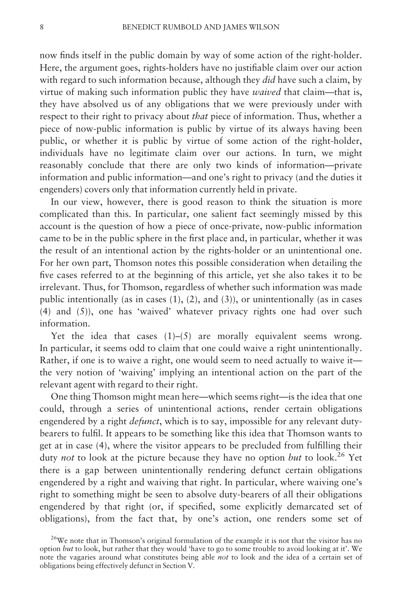now finds itself in the public domain by way of some action of the right-holder. Here, the argument goes, rights-holders have no justifiable claim over our action with regard to such information because, although they *did* have such a claim, by virtue of making such information public they have waived that claim—that is, they have absolved us of any obligations that we were previously under with respect to their right to privacy about that piece of information. Thus, whether a piece of now-public information is public by virtue of its always having been public, or whether it is public by virtue of some action of the right-holder, individuals have no legitimate claim over our actions. In turn, we might reasonably conclude that there are only two kinds of information—private information and public information—and one's right to privacy (and the duties it engenders) covers only that information currently held in private.

In our view, however, there is good reason to think the situation is more complicated than this. In particular, one salient fact seemingly missed by this account is the question of how a piece of once-private, now-public information came to be in the public sphere in the first place and, in particular, whether it was the result of an intentional action by the rights-holder or an unintentional one. For her own part, Thomson notes this possible consideration when detailing the five cases referred to at the beginning of this article, yet she also takes it to be irrelevant. Thus, for Thomson, regardless of whether such information was made public intentionally (as in cases (1), (2), and (3)), or unintentionally (as in cases (4) and (5)), one has 'waived' whatever privacy rights one had over such information.

Yet the idea that cases  $(1)$ – $(5)$  are morally equivalent seems wrong. In particular, it seems odd to claim that one could waive a right unintentionally. Rather, if one is to waive a right, one would seem to need actually to waive it the very notion of 'waiving' implying an intentional action on the part of the relevant agent with regard to their right.

One thing Thomson might mean here—which seems right—is the idea that one could, through a series of unintentional actions, render certain obligations engendered by a right *defunct*, which is to say, impossible for any relevant dutybearers to fulfil. It appears to be something like this idea that Thomson wants to get at in case (4), where the visitor appears to be precluded from fulfilling their duty not to look at the picture because they have no option but to look.<sup>26</sup> Yet there is a gap between unintentionally rendering defunct certain obligations engendered by a right and waiving that right. In particular, where waiving one's right to something might be seen to absolve duty-bearers of all their obligations engendered by that right (or, if specified, some explicitly demarcated set of obligations), from the fact that, by one's action, one renders some set of

<sup>&</sup>lt;sup>26</sup>We note that in Thomson's original formulation of the example it is not that the visitor has no option but to look, but rather that they would 'have to go to some trouble to avoid looking at it'. We note the vagaries around what constitutes being able not to look and the idea of a certain set of obligations being effectively defunct in Section V.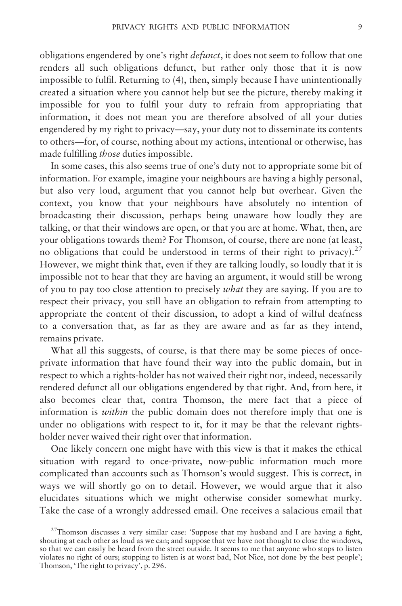obligations engendered by one's right defunct, it does not seem to follow that one renders all such obligations defunct, but rather only those that it is now impossible to fulfil. Returning to (4), then, simply because I have unintentionally created a situation where you cannot help but see the picture, thereby making it impossible for you to fulfil your duty to refrain from appropriating that information, it does not mean you are therefore absolved of all your duties engendered by my right to privacy—say, your duty not to disseminate its contents to others—for, of course, nothing about my actions, intentional or otherwise, has made fulfilling those duties impossible.

In some cases, this also seems true of one's duty not to appropriate some bit of information. For example, imagine your neighbours are having a highly personal, but also very loud, argument that you cannot help but overhear. Given the context, you know that your neighbours have absolutely no intention of broadcasting their discussion, perhaps being unaware how loudly they are talking, or that their windows are open, or that you are at home. What, then, are your obligations towards them? For Thomson, of course, there are none (at least, no obligations that could be understood in terms of their right to privacy).<sup>27</sup> However, we might think that, even if they are talking loudly, so loudly that it is impossible not to hear that they are having an argument, it would still be wrong of you to pay too close attention to precisely *what* they are saying. If you are to respect their privacy, you still have an obligation to refrain from attempting to appropriate the content of their discussion, to adopt a kind of wilful deafness to a conversation that, as far as they are aware and as far as they intend, remains private.

What all this suggests, of course, is that there may be some pieces of onceprivate information that have found their way into the public domain, but in respect to which a rights-holder has not waived their right nor, indeed, necessarily rendered defunct all our obligations engendered by that right. And, from here, it also becomes clear that, contra Thomson, the mere fact that a piece of information is *within* the public domain does not therefore imply that one is under no obligations with respect to it, for it may be that the relevant rightsholder never waived their right over that information.

One likely concern one might have with this view is that it makes the ethical situation with regard to once-private, now-public information much more complicated than accounts such as Thomson's would suggest. This is correct, in ways we will shortly go on to detail. However, we would argue that it also elucidates situations which we might otherwise consider somewhat murky. Take the case of a wrongly addressed email. One receives a salacious email that

 $^{27}$ Thomson discusses a very similar case: 'Suppose that my husband and I are having a fight, shouting at each other as loud as we can; and suppose that we have not thought to close the windows, so that we can easily be heard from the street outside. It seems to me that anyone who stops to listen violates no right of ours; stopping to listen is at worst bad, Not Nice, not done by the best people'; Thomson, 'The right to privacy', p. 296.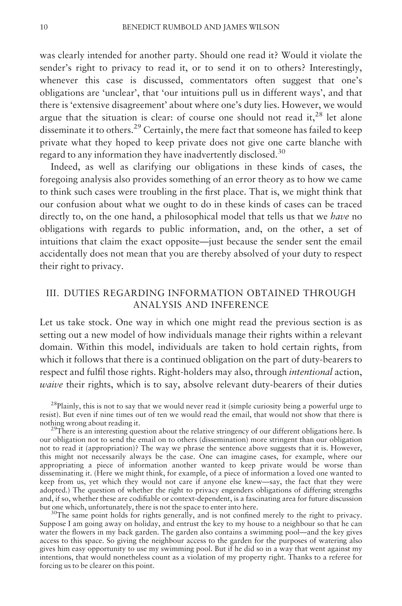was clearly intended for another party. Should one read it? Would it violate the sender's right to privacy to read it, or to send it on to others? Interestingly, whenever this case is discussed, commentators often suggest that one's obligations are 'unclear', that 'our intuitions pull us in different ways', and that there is 'extensive disagreement' about where one's duty lies. However, we would argue that the situation is clear: of course one should not read it, $^{28}$  let alone disseminate it to others.<sup>29</sup> Certainly, the mere fact that someone has failed to keep private what they hoped to keep private does not give one carte blanche with regard to any information they have inadvertently disclosed.<sup>30</sup>

Indeed, as well as clarifying our obligations in these kinds of cases, the foregoing analysis also provides something of an error theory as to how we came to think such cases were troubling in the first place. That is, we might think that our confusion about what we ought to do in these kinds of cases can be traced directly to, on the one hand, a philosophical model that tells us that we have no obligations with regards to public information, and, on the other, a set of intuitions that claim the exact opposite—just because the sender sent the email accidentally does not mean that you are thereby absolved of your duty to respect their right to privacy.

## III. DUTIES REGARDING INFORMATION OBTAINED THROUGH ANALYSIS AND INFERENCE

Let us take stock. One way in which one might read the previous section is as setting out a new model of how individuals manage their rights within a relevant domain. Within this model, individuals are taken to hold certain rights, from which it follows that there is a continued obligation on the part of duty-bearers to respect and fulfil those rights. Right-holders may also, through intentional action, waive their rights, which is to say, absolve relevant duty-bearers of their duties

<sup>28</sup>Plainly, this is not to say that we would never read it (simple curiosity being a powerful urge to resist). But even if nine times out of ten we would read the email, that would not show that there is

<sup>29</sup>There is an interesting question about the relative stringency of our different obligations here. Is our obligation not to send the email on to others (dissemination) more stringent than our obligation not to read it (appropriation)? The way we phrase the sentence above suggests that it is. However, this might not necessarily always be the case. One can imagine cases, for example, where our appropriating a piece of information another wanted to keep private would be worse than disseminating it. (Here we might think, for example, of a piece of information a loved one wanted to keep from us, yet which they would not care if anyone else knew—say, the fact that they were adopted.) The question of whether the right to privacy engenders obligations of differing strengths and, if so, whether these are codifiable or context-dependent, is a fascinating area for future discussion

 $\delta^{30}$ The same point holds for rights generally, and is not confined merely to the right to privacy. Suppose I am going away on holiday, and entrust the key to my house to a neighbour so that he can water the flowers in my back garden. The garden also contains a swimming pool—and the key gives access to this space. So giving the neighbour access to the garden for the purposes of watering also gives him easy opportunity to use my swimming pool. But if he did so in a way that went against my intentions, that would nonetheless count as a violation of my property right. Thanks to a referee for forcing us to be clearer on this point.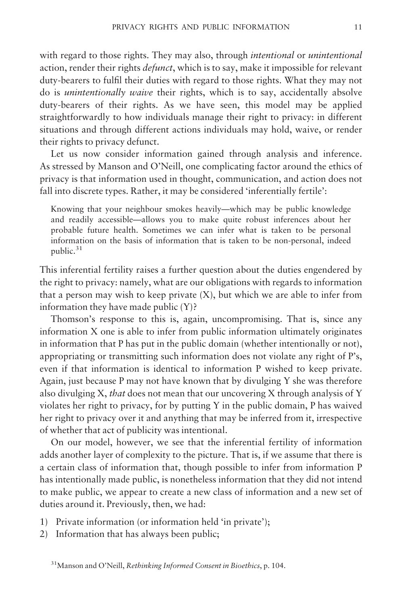with regard to those rights. They may also, through *intentional* or *unintentional* action, render their rights *defunct*, which is to say, make it impossible for relevant duty-bearers to fulfil their duties with regard to those rights. What they may not do is unintentionally waive their rights, which is to say, accidentally absolve duty-bearers of their rights. As we have seen, this model may be applied straightforwardly to how individuals manage their right to privacy: in different situations and through different actions individuals may hold, waive, or render their rights to privacy defunct.

Let us now consider information gained through analysis and inference. As stressed by Manson and O'Neill, one complicating factor around the ethics of privacy is that information used in thought, communication, and action does not fall into discrete types. Rather, it may be considered 'inferentially fertile':

Knowing that your neighbour smokes heavily—which may be public knowledge and readily accessible—allows you to make quite robust inferences about her probable future health. Sometimes we can infer what is taken to be personal information on the basis of information that is taken to be non-personal, indeed public.<sup>31</sup>

This inferential fertility raises a further question about the duties engendered by the right to privacy: namely, what are our obligations with regards to information that a person may wish to keep private  $(X)$ , but which we are able to infer from information they have made public (Y)?

Thomson's response to this is, again, uncompromising. That is, since any information X one is able to infer from public information ultimately originates in information that P has put in the public domain (whether intentionally or not), appropriating or transmitting such information does not violate any right of P's, even if that information is identical to information P wished to keep private. Again, just because P may not have known that by divulging Y she was therefore also divulging X, that does not mean that our uncovering X through analysis of Y violates her right to privacy, for by putting Y in the public domain, P has waived her right to privacy over it and anything that may be inferred from it, irrespective of whether that act of publicity was intentional.

On our model, however, we see that the inferential fertility of information adds another layer of complexity to the picture. That is, if we assume that there is a certain class of information that, though possible to infer from information P has intentionally made public, is nonetheless information that they did not intend to make public, we appear to create a new class of information and a new set of duties around it. Previously, then, we had:

- 1) Private information (or information held 'in private');
- 2) Information that has always been public;

 $31$ Manson and O'Neill, Rethinking Informed Consent in Bioethics, p. 104.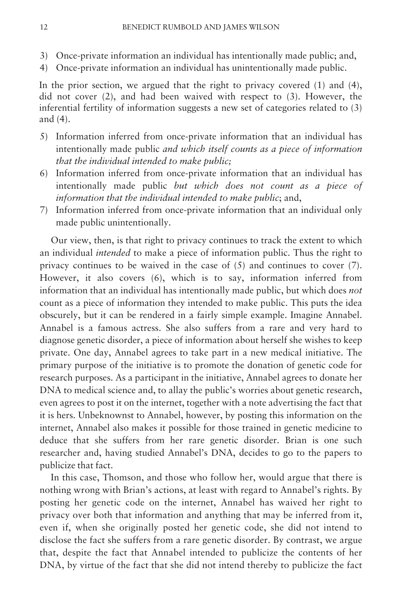- 3) Once-private information an individual has intentionally made public; and,
- 4) Once-private information an individual has unintentionally made public.

In the prior section, we argued that the right to privacy covered (1) and (4), did not cover (2), and had been waived with respect to (3). However, the inferential fertility of information suggests a new set of categories related to (3) and (4).

- 5) Information inferred from once-private information that an individual has intentionally made public and which itself counts as a piece of information that the individual intended to make public;
- 6) Information inferred from once-private information that an individual has intentionally made public but which does not count as a piece of information that the individual intended to make public; and,
- 7) Information inferred from once-private information that an individual only made public unintentionally.

Our view, then, is that right to privacy continues to track the extent to which an individual *intended* to make a piece of information public. Thus the right to privacy continues to be waived in the case of (5) and continues to cover (7). However, it also covers (6), which is to say, information inferred from information that an individual has intentionally made public, but which does not count as a piece of information they intended to make public. This puts the idea obscurely, but it can be rendered in a fairly simple example. Imagine Annabel. Annabel is a famous actress. She also suffers from a rare and very hard to diagnose genetic disorder, a piece of information about herself she wishes to keep private. One day, Annabel agrees to take part in a new medical initiative. The primary purpose of the initiative is to promote the donation of genetic code for research purposes. As a participant in the initiative, Annabel agrees to donate her DNA to medical science and, to allay the public's worries about genetic research, even agrees to post it on the internet, together with a note advertising the fact that it is hers. Unbeknownst to Annabel, however, by posting this information on the internet, Annabel also makes it possible for those trained in genetic medicine to deduce that she suffers from her rare genetic disorder. Brian is one such researcher and, having studied Annabel's DNA, decides to go to the papers to publicize that fact.

In this case, Thomson, and those who follow her, would argue that there is nothing wrong with Brian's actions, at least with regard to Annabel's rights. By posting her genetic code on the internet, Annabel has waived her right to privacy over both that information and anything that may be inferred from it, even if, when she originally posted her genetic code, she did not intend to disclose the fact she suffers from a rare genetic disorder. By contrast, we argue that, despite the fact that Annabel intended to publicize the contents of her DNA, by virtue of the fact that she did not intend thereby to publicize the fact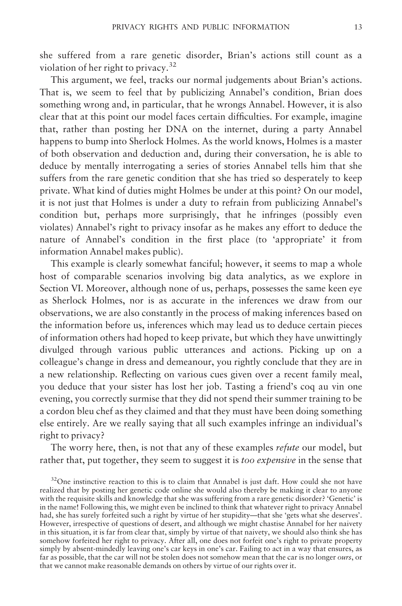she suffered from a rare genetic disorder, Brian's actions still count as a violation of her right to privacy.<sup>32</sup>

This argument, we feel, tracks our normal judgements about Brian's actions. That is, we seem to feel that by publicizing Annabel's condition, Brian does something wrong and, in particular, that he wrongs Annabel. However, it is also clear that at this point our model faces certain difficulties. For example, imagine that, rather than posting her DNA on the internet, during a party Annabel happens to bump into Sherlock Holmes. As the world knows, Holmes is a master of both observation and deduction and, during their conversation, he is able to deduce by mentally interrogating a series of stories Annabel tells him that she suffers from the rare genetic condition that she has tried so desperately to keep private. What kind of duties might Holmes be under at this point? On our model, it is not just that Holmes is under a duty to refrain from publicizing Annabel's condition but, perhaps more surprisingly, that he infringes (possibly even violates) Annabel's right to privacy insofar as he makes any effort to deduce the nature of Annabel's condition in the first place (to 'appropriate' it from information Annabel makes public).

This example is clearly somewhat fanciful; however, it seems to map a whole host of comparable scenarios involving big data analytics, as we explore in Section VI. Moreover, although none of us, perhaps, possesses the same keen eye as Sherlock Holmes, nor is as accurate in the inferences we draw from our observations, we are also constantly in the process of making inferences based on the information before us, inferences which may lead us to deduce certain pieces of information others had hoped to keep private, but which they have unwittingly divulged through various public utterances and actions. Picking up on a colleague's change in dress and demeanour, you rightly conclude that they are in a new relationship. Reflecting on various cues given over a recent family meal, you deduce that your sister has lost her job. Tasting a friend's coq au vin one evening, you correctly surmise that they did not spend their summer training to be a cordon bleu chef as they claimed and that they must have been doing something else entirely. Are we really saying that all such examples infringe an individual's right to privacy?

The worry here, then, is not that any of these examples *refute* our model, but rather that, put together, they seem to suggest it is *too expensive* in the sense that

 $32$ One instinctive reaction to this is to claim that Annabel is just daft. How could she not have realized that by posting her genetic code online she would also thereby be making it clear to anyone with the requisite skills and knowledge that she was suffering from a rare genetic disorder? 'Genetic' is in the name! Following this, we might even be inclined to think that whatever right to privacy Annabel had, she has surely forfeited such a right by virtue of her stupidity—that she 'gets what she deserves'. However, irrespective of questions of desert, and although we might chastise Annabel for her naivety in this situation, it is far from clear that, simply by virtue of that naivety, we should also think she has somehow forfeited her right to privacy. After all, one does not forfeit one's right to private property simply by absent-mindedly leaving one's car keys in one's car. Failing to act in a way that ensures, as far as possible, that the car will not be stolen does not somehow mean that the car is no longer ours, or that we cannot make reasonable demands on others by virtue of our rights over it.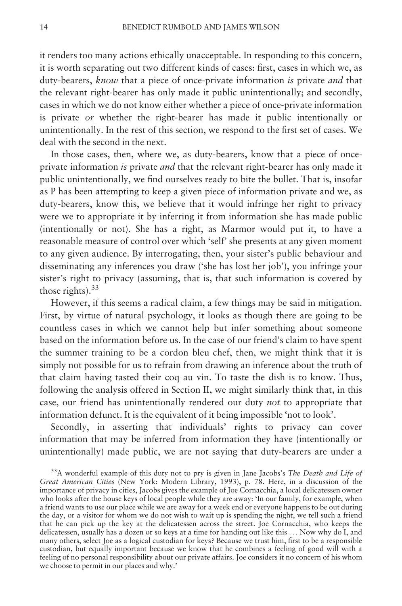it renders too many actions ethically unacceptable. In responding to this concern, it is worth separating out two different kinds of cases: first, cases in which we, as duty-bearers, know that a piece of once-private information is private and that the relevant right-bearer has only made it public unintentionally; and secondly, cases in which we do not know either whether a piece of once-private information is private or whether the right-bearer has made it public intentionally or unintentionally. In the rest of this section, we respond to the first set of cases. We deal with the second in the next.

In those cases, then, where we, as duty-bearers, know that a piece of onceprivate information is private and that the relevant right-bearer has only made it public unintentionally, we find ourselves ready to bite the bullet. That is, insofar as P has been attempting to keep a given piece of information private and we, as duty-bearers, know this, we believe that it would infringe her right to privacy were we to appropriate it by inferring it from information she has made public (intentionally or not). She has a right, as Marmor would put it, to have a reasonable measure of control over which 'self' she presents at any given moment to any given audience. By interrogating, then, your sister's public behaviour and disseminating any inferences you draw ('she has lost her job'), you infringe your sister's right to privacy (assuming, that is, that such information is covered by those rights). $33$ 

However, if this seems a radical claim, a few things may be said in mitigation. First, by virtue of natural psychology, it looks as though there are going to be countless cases in which we cannot help but infer something about someone based on the information before us. In the case of our friend's claim to have spent the summer training to be a cordon bleu chef, then, we might think that it is simply not possible for us to refrain from drawing an inference about the truth of that claim having tasted their coq au vin. To taste the dish is to know. Thus, following the analysis offered in Section II, we might similarly think that, in this case, our friend has unintentionally rendered our duty not to appropriate that information defunct. It is the equivalent of it being impossible 'not to look'.

Secondly, in asserting that individuals' rights to privacy can cover information that may be inferred from information they have (intentionally or unintentionally) made public, we are not saying that duty-bearers are under a

 $33A$  wonderful example of this duty not to pry is given in Jane Jacobs's The Death and Life of Great American Cities (New York: Modern Library, 1993), p. 78. Here, in a discussion of the importance of privacy in cities, Jacobs gives the example of Joe Cornacchia, a local delicatessen owner who looks after the house keys of local people while they are away: 'In our family, for example, when a friend wants to use our place while we are away for a week end or everyone happens to be out during the day, or a visitor for whom we do not wish to wait up is spending the night, we tell such a friend that he can pick up the key at the delicatessen across the street. Joe Cornacchia, who keeps the delicatessen, usually has a dozen or so keys at a time for handing out like this ... Now why do I, and many others, select Joe as a logical custodian for keys? Because we trust him, first to be a responsible custodian, but equally important because we know that he combines a feeling of good will with a feeling of no personal responsibility about our private affairs. Joe considers it no concern of his whom we choose to permit in our places and why.'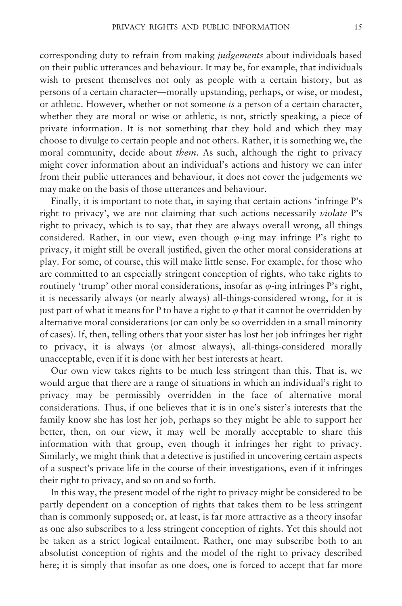corresponding duty to refrain from making judgements about individuals based on their public utterances and behaviour. It may be, for example, that individuals wish to present themselves not only as people with a certain history, but as persons of a certain character—morally upstanding, perhaps, or wise, or modest, or athletic. However, whether or not someone is a person of a certain character, whether they are moral or wise or athletic, is not, strictly speaking, a piece of private information. It is not something that they hold and which they may choose to divulge to certain people and not others. Rather, it is something we, the moral community, decide about *them*. As such, although the right to privacy might cover information about an individual's actions and history we can infer from their public utterances and behaviour, it does not cover the judgements we may make on the basis of those utterances and behaviour.

Finally, it is important to note that, in saying that certain actions 'infringe P's right to privacy', we are not claiming that such actions necessarily violate P's right to privacy, which is to say, that they are always overall wrong, all things considered. Rather, in our view, even though  $\varphi$ -ing may infringe P's right to privacy, it might still be overall justified, given the other moral considerations at play. For some, of course, this will make little sense. For example, for those who are committed to an especially stringent conception of rights, who take rights to routinely 'trump' other moral considerations, insofar as  $\varphi$ -ing infringes P's right, it is necessarily always (or nearly always) all-things-considered wrong, for it is just part of what it means for P to have a right to  $\varphi$  that it cannot be overridden by alternative moral considerations (or can only be so overridden in a small minority of cases). If, then, telling others that your sister has lost her job infringes her right to privacy, it is always (or almost always), all-things-considered morally unacceptable, even if it is done with her best interests at heart.

Our own view takes rights to be much less stringent than this. That is, we would argue that there are a range of situations in which an individual's right to privacy may be permissibly overridden in the face of alternative moral considerations. Thus, if one believes that it is in one's sister's interests that the family know she has lost her job, perhaps so they might be able to support her better, then, on our view, it may well be morally acceptable to share this information with that group, even though it infringes her right to privacy. Similarly, we might think that a detective is justified in uncovering certain aspects of a suspect's private life in the course of their investigations, even if it infringes their right to privacy, and so on and so forth.

In this way, the present model of the right to privacy might be considered to be partly dependent on a conception of rights that takes them to be less stringent than is commonly supposed; or, at least, is far more attractive as a theory insofar as one also subscribes to a less stringent conception of rights. Yet this should not be taken as a strict logical entailment. Rather, one may subscribe both to an absolutist conception of rights and the model of the right to privacy described here; it is simply that insofar as one does, one is forced to accept that far more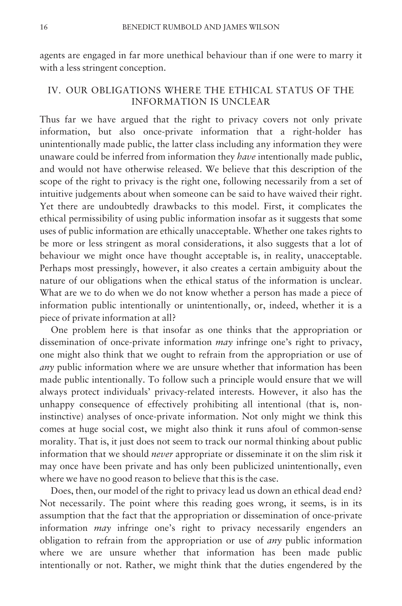agents are engaged in far more unethical behaviour than if one were to marry it with a less stringent conception.

## IV. OUR OBLIGATIONS WHERE THE ETHICAL STATUS OF THE INFORMATION IS UNCLEAR

Thus far we have argued that the right to privacy covers not only private information, but also once-private information that a right-holder has unintentionally made public, the latter class including any information they were unaware could be inferred from information they have intentionally made public, and would not have otherwise released. We believe that this description of the scope of the right to privacy is the right one, following necessarily from a set of intuitive judgements about when someone can be said to have waived their right. Yet there are undoubtedly drawbacks to this model. First, it complicates the ethical permissibility of using public information insofar as it suggests that some uses of public information are ethically unacceptable. Whether one takes rights to be more or less stringent as moral considerations, it also suggests that a lot of behaviour we might once have thought acceptable is, in reality, unacceptable. Perhaps most pressingly, however, it also creates a certain ambiguity about the nature of our obligations when the ethical status of the information is unclear. What are we to do when we do not know whether a person has made a piece of information public intentionally or unintentionally, or, indeed, whether it is a piece of private information at all?

One problem here is that insofar as one thinks that the appropriation or dissemination of once-private information *may* infringe one's right to privacy, one might also think that we ought to refrain from the appropriation or use of any public information where we are unsure whether that information has been made public intentionally. To follow such a principle would ensure that we will always protect individuals' privacy-related interests. However, it also has the unhappy consequence of effectively prohibiting all intentional (that is, noninstinctive) analyses of once-private information. Not only might we think this comes at huge social cost, we might also think it runs afoul of common-sense morality. That is, it just does not seem to track our normal thinking about public information that we should never appropriate or disseminate it on the slim risk it may once have been private and has only been publicized unintentionally, even where we have no good reason to believe that this is the case.

Does, then, our model of the right to privacy lead us down an ethical dead end? Not necessarily. The point where this reading goes wrong, it seems, is in its assumption that the fact that the appropriation or dissemination of once-private information may infringe one's right to privacy necessarily engenders an obligation to refrain from the appropriation or use of any public information where we are unsure whether that information has been made public intentionally or not. Rather, we might think that the duties engendered by the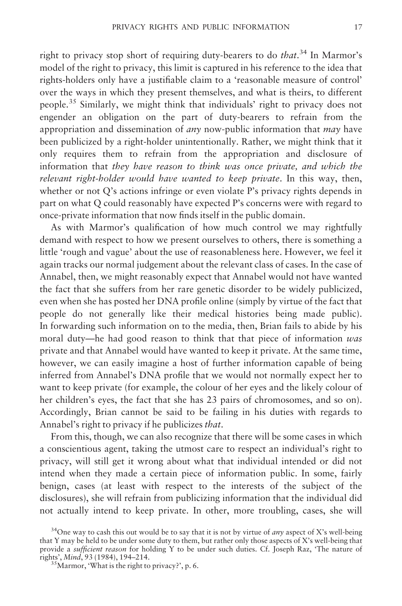right to privacy stop short of requiring duty-bearers to do that.<sup>34</sup> In Marmor's model of the right to privacy, this limit is captured in his reference to the idea that rights-holders only have a justifiable claim to a 'reasonable measure of control' over the ways in which they present themselves, and what is theirs, to different people.<sup>35</sup> Similarly, we might think that individuals' right to privacy does not engender an obligation on the part of duty-bearers to refrain from the appropriation and dissemination of any now-public information that may have been publicized by a right-holder unintentionally. Rather, we might think that it only requires them to refrain from the appropriation and disclosure of information that they have reason to think was once private, and which the relevant right-holder would have wanted to keep private. In this way, then, whether or not Q's actions infringe or even violate P's privacy rights depends in part on what Q could reasonably have expected P's concerns were with regard to once-private information that now finds itself in the public domain.

As with Marmor's qualification of how much control we may rightfully demand with respect to how we present ourselves to others, there is something a little 'rough and vague' about the use of reasonableness here. However, we feel it again tracks our normal judgement about the relevant class of cases. In the case of Annabel, then, we might reasonably expect that Annabel would not have wanted the fact that she suffers from her rare genetic disorder to be widely publicized, even when she has posted her DNA profile online (simply by virtue of the fact that people do not generally like their medical histories being made public). In forwarding such information on to the media, then, Brian fails to abide by his moral duty—he had good reason to think that that piece of information was private and that Annabel would have wanted to keep it private. At the same time, however, we can easily imagine a host of further information capable of being inferred from Annabel's DNA profile that we would not normally expect her to want to keep private (for example, the colour of her eyes and the likely colour of her children's eyes, the fact that she has 23 pairs of chromosomes, and so on). Accordingly, Brian cannot be said to be failing in his duties with regards to Annabel's right to privacy if he publicizes that.

From this, though, we can also recognize that there will be some cases in which a conscientious agent, taking the utmost care to respect an individual's right to privacy, will still get it wrong about what that individual intended or did not intend when they made a certain piece of information public. In some, fairly benign, cases (at least with respect to the interests of the subject of the disclosures), she will refrain from publicizing information that the individual did not actually intend to keep private. In other, more troubling, cases, she will

<sup>&</sup>lt;sup>34</sup>One way to cash this out would be to say that it is not by virtue of *any* aspect of X's well-being that Y may be held to be under some duty to them, but rather only those aspects of X's well-being that provide a *sufficient reason* for holding Y to be under such duties. Cf. Joseph Raz, 'The nature of rights', *Mind*, 93 (1984), 194–214.

 $135$ Marmor, 'What is the right to privacy?', p. 6.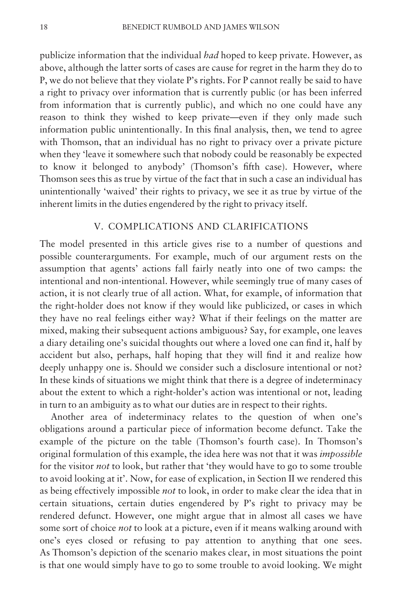publicize information that the individual *had* hoped to keep private. However, as above, although the latter sorts of cases are cause for regret in the harm they do to P, we do not believe that they violate P's rights. For P cannot really be said to have a right to privacy over information that is currently public (or has been inferred from information that is currently public), and which no one could have any reason to think they wished to keep private—even if they only made such information public unintentionally. In this final analysis, then, we tend to agree with Thomson, that an individual has no right to privacy over a private picture when they 'leave it somewhere such that nobody could be reasonably be expected to know it belonged to anybody' (Thomson's fifth case). However, where Thomson sees this as true by virtue of the fact that in such a case an individual has unintentionally 'waived' their rights to privacy, we see it as true by virtue of the inherent limits in the duties engendered by the right to privacy itself.

#### V. COMPLICATIONS AND CLARIFICATIONS

The model presented in this article gives rise to a number of questions and possible counterarguments. For example, much of our argument rests on the assumption that agents' actions fall fairly neatly into one of two camps: the intentional and non-intentional. However, while seemingly true of many cases of action, it is not clearly true of all action. What, for example, of information that the right-holder does not know if they would like publicized, or cases in which they have no real feelings either way? What if their feelings on the matter are mixed, making their subsequent actions ambiguous? Say, for example, one leaves a diary detailing one's suicidal thoughts out where a loved one can find it, half by accident but also, perhaps, half hoping that they will find it and realize how deeply unhappy one is. Should we consider such a disclosure intentional or not? In these kinds of situations we might think that there is a degree of indeterminacy about the extent to which a right-holder's action was intentional or not, leading in turn to an ambiguity as to what our duties are in respect to their rights.

Another area of indeterminacy relates to the question of when one's obligations around a particular piece of information become defunct. Take the example of the picture on the table (Thomson's fourth case). In Thomson's original formulation of this example, the idea here was not that it was *impossible* for the visitor not to look, but rather that 'they would have to go to some trouble to avoid looking at it'. Now, for ease of explication, in Section II we rendered this as being effectively impossible not to look, in order to make clear the idea that in certain situations, certain duties engendered by P's right to privacy may be rendered defunct. However, one might argue that in almost all cases we have some sort of choice not to look at a picture, even if it means walking around with one's eyes closed or refusing to pay attention to anything that one sees. As Thomson's depiction of the scenario makes clear, in most situations the point is that one would simply have to go to some trouble to avoid looking. We might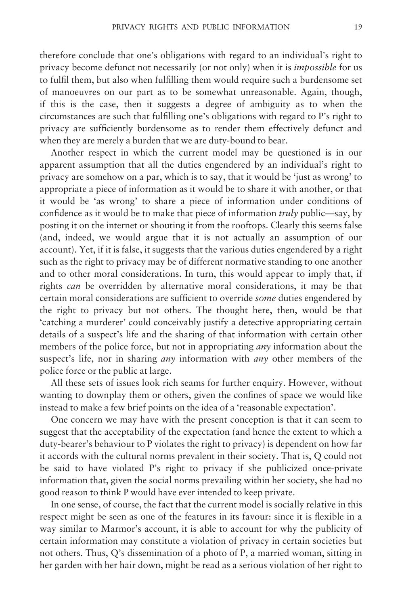therefore conclude that one's obligations with regard to an individual's right to privacy become defunct not necessarily (or not only) when it is *impossible* for us to fulfil them, but also when fulfilling them would require such a burdensome set of manoeuvres on our part as to be somewhat unreasonable. Again, though, if this is the case, then it suggests a degree of ambiguity as to when the circumstances are such that fulfilling one's obligations with regard to P's right to privacy are sufficiently burdensome as to render them effectively defunct and when they are merely a burden that we are duty-bound to bear.

Another respect in which the current model may be questioned is in our apparent assumption that all the duties engendered by an individual's right to privacy are somehow on a par, which is to say, that it would be 'just as wrong' to appropriate a piece of information as it would be to share it with another, or that it would be 'as wrong' to share a piece of information under conditions of confidence as it would be to make that piece of information *truly* public—say, by posting it on the internet or shouting it from the rooftops. Clearly this seems false (and, indeed, we would argue that it is not actually an assumption of our account). Yet, if it is false, it suggests that the various duties engendered by a right such as the right to privacy may be of different normative standing to one another and to other moral considerations. In turn, this would appear to imply that, if rights can be overridden by alternative moral considerations, it may be that certain moral considerations are sufficient to override some duties engendered by the right to privacy but not others. The thought here, then, would be that 'catching a murderer' could conceivably justify a detective appropriating certain details of a suspect's life and the sharing of that information with certain other members of the police force, but not in appropriating  $any$  information about the suspect's life, nor in sharing *any* information with *any* other members of the police force or the public at large.

All these sets of issues look rich seams for further enquiry. However, without wanting to downplay them or others, given the confines of space we would like instead to make a few brief points on the idea of a 'reasonable expectation'.

One concern we may have with the present conception is that it can seem to suggest that the acceptability of the expectation (and hence the extent to which a duty-bearer's behaviour to P violates the right to privacy) is dependent on how far it accords with the cultural norms prevalent in their society. That is, Q could not be said to have violated P's right to privacy if she publicized once-private information that, given the social norms prevailing within her society, she had no good reason to think P would have ever intended to keep private.

In one sense, of course, the fact that the current model is socially relative in this respect might be seen as one of the features in its favour: since it is flexible in a way similar to Marmor's account, it is able to account for why the publicity of certain information may constitute a violation of privacy in certain societies but not others. Thus, Q's dissemination of a photo of P, a married woman, sitting in her garden with her hair down, might be read as a serious violation of her right to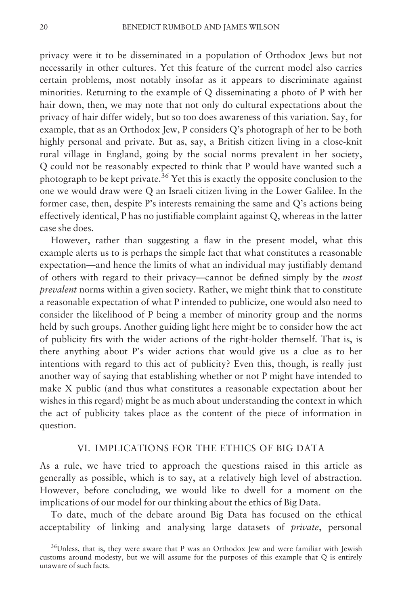privacy were it to be disseminated in a population of Orthodox Jews but not necessarily in other cultures. Yet this feature of the current model also carries certain problems, most notably insofar as it appears to discriminate against minorities. Returning to the example of Q disseminating a photo of P with her hair down, then, we may note that not only do cultural expectations about the privacy of hair differ widely, but so too does awareness of this variation. Say, for example, that as an Orthodox Jew, P considers Q's photograph of her to be both highly personal and private. But as, say, a British citizen living in a close-knit rural village in England, going by the social norms prevalent in her society, Q could not be reasonably expected to think that P would have wanted such a photograph to be kept private.<sup>36</sup> Yet this is exactly the opposite conclusion to the one we would draw were Q an Israeli citizen living in the Lower Galilee. In the former case, then, despite P's interests remaining the same and Q's actions being effectively identical, P has no justifiable complaint against Q, whereas in the latter case she does.

However, rather than suggesting a flaw in the present model, what this example alerts us to is perhaps the simple fact that what constitutes a reasonable expectation—and hence the limits of what an individual may justifiably demand of others with regard to their privacy—cannot be defined simply by the most prevalent norms within a given society. Rather, we might think that to constitute a reasonable expectation of what P intended to publicize, one would also need to consider the likelihood of P being a member of minority group and the norms held by such groups. Another guiding light here might be to consider how the act of publicity fits with the wider actions of the right-holder themself. That is, is there anything about P's wider actions that would give us a clue as to her intentions with regard to this act of publicity? Even this, though, is really just another way of saying that establishing whether or not P might have intended to make X public (and thus what constitutes a reasonable expectation about her wishes in this regard) might be as much about understanding the context in which the act of publicity takes place as the content of the piece of information in question.

#### VI. IMPLICATIONS FOR THE ETHICS OF BIG DATA

As a rule, we have tried to approach the questions raised in this article as generally as possible, which is to say, at a relatively high level of abstraction. However, before concluding, we would like to dwell for a moment on the implications of our model for our thinking about the ethics of Big Data.

To date, much of the debate around Big Data has focused on the ethical acceptability of linking and analysing large datasets of private, personal

 $36$ Unless, that is, they were aware that P was an Orthodox Jew and were familiar with Jewish customs around modesty, but we will assume for the purposes of this example that Q is entirely unaware of such facts.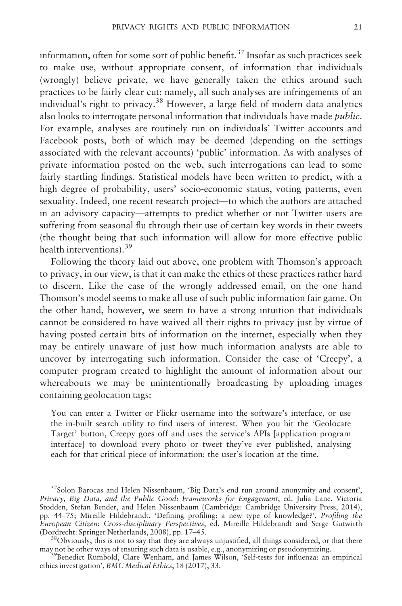information, often for some sort of public benefit.<sup>37</sup> Insofar as such practices seek to make use, without appropriate consent, of information that individuals (wrongly) believe private, we have generally taken the ethics around such practices to be fairly clear cut: namely, all such analyses are infringements of an individual's right to privacy.<sup>38</sup> However, a large field of modern data analytics also looks to interrogate personal information that individuals have made public. For example, analyses are routinely run on individuals' Twitter accounts and Facebook posts, both of which may be deemed (depending on the settings associated with the relevant accounts) 'public' information. As with analyses of private information posted on the web, such interrogations can lead to some fairly startling findings. Statistical models have been written to predict, with a high degree of probability, users' socio-economic status, voting patterns, even sexuality. Indeed, one recent research project—to which the authors are attached in an advisory capacity—attempts to predict whether or not Twitter users are suffering from seasonal flu through their use of certain key words in their tweets (the thought being that such information will allow for more effective public health interventions).<sup>39</sup>

Following the theory laid out above, one problem with Thomson's approach to privacy, in our view, is that it can make the ethics of these practices rather hard to discern. Like the case of the wrongly addressed email, on the one hand Thomson's model seems to make all use of such public information fair game. On the other hand, however, we seem to have a strong intuition that individuals cannot be considered to have waived all their rights to privacy just by virtue of having posted certain bits of information on the internet, especially when they may be entirely unaware of just how much information analysts are able to uncover by interrogating such information. Consider the case of 'Creepy', a computer program created to highlight the amount of information about our whereabouts we may be unintentionally broadcasting by uploading images containing geolocation tags:

You can enter a Twitter or Flickr username into the software's interface, or use the in-built search utility to find users of interest. When you hit the 'Geolocate Target' button, Creepy goes off and uses the service's APIs [application program interface] to download every photo or tweet they've ever published, analysing each for that critical piece of information: the user's location at the time.

<sup>&</sup>lt;sup>37</sup>Solon Barocas and Helen Nissenbaum, 'Big Data's end run around anonymity and consent', Privacy, Big Data, and the Public Good: Frameworks for Engagement, ed. Julia Lane, Victoria Stodden, Stefan Bender, and Helen Nissenbaum (Cambridge: Cambridge University Press, 2014), pp. 44–75; Mireille Hildebrandt, 'Defining profiling: a new type of knowledge?', Profiling the European Citizen: Cross-disciplinary Perspectives, ed. Mireille Hildebrandt and Serge Gutwirth

<sup>&</sup>lt;sup>38</sup>Obviously, this is not to say that they are always unjustified, all things considered, or that there may not be other ways of ensuring such data is usable, e.g., anonymizing or pseudonymizing.

<sup>&</sup>lt;sup>39</sup>Benedict Rumbold, Clare Wenham, and James Wilson, 'Self-tests for influenza: an empirical ethics investigation', BMC Medical Ethics, 18 (2017), 33.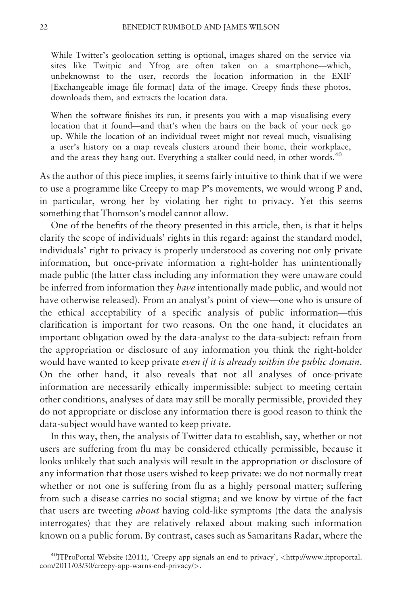While Twitter's geolocation setting is optional, images shared on the service via sites like Twitpic and Yfrog are often taken on a smartphone—which, unbeknownst to the user, records the location information in the EXIF [Exchangeable image file format] data of the image. Creepy finds these photos, downloads them, and extracts the location data.

When the software finishes its run, it presents you with a map visualising every location that it found—and that's when the hairs on the back of your neck go up. While the location of an individual tweet might not reveal much, visualising a user's history on a map reveals clusters around their home, their workplace, and the areas they hang out. Everything a stalker could need, in other words.<sup>40</sup>

As the author of this piece implies, it seems fairly intuitive to think that if we were to use a programme like Creepy to map P's movements, we would wrong P and, in particular, wrong her by violating her right to privacy. Yet this seems something that Thomson's model cannot allow.

One of the benefits of the theory presented in this article, then, is that it helps clarify the scope of individuals' rights in this regard: against the standard model, individuals' right to privacy is properly understood as covering not only private information, but once-private information a right-holder has unintentionally made public (the latter class including any information they were unaware could be inferred from information they have intentionally made public, and would not have otherwise released). From an analyst's point of view—one who is unsure of the ethical acceptability of a specific analysis of public information—this clarification is important for two reasons. On the one hand, it elucidates an important obligation owed by the data-analyst to the data-subject: refrain from the appropriation or disclosure of any information you think the right-holder would have wanted to keep private *even if it is already within the public domain*. On the other hand, it also reveals that not all analyses of once-private information are necessarily ethically impermissible: subject to meeting certain other conditions, analyses of data may still be morally permissible, provided they do not appropriate or disclose any information there is good reason to think the data-subject would have wanted to keep private.

In this way, then, the analysis of Twitter data to establish, say, whether or not users are suffering from flu may be considered ethically permissible, because it looks unlikely that such analysis will result in the appropriation or disclosure of any information that those users wished to keep private: we do not normally treat whether or not one is suffering from flu as a highly personal matter; suffering from such a disease carries no social stigma; and we know by virtue of the fact that users are tweeting about having cold-like symptoms (the data the analysis interrogates) that they are relatively relaxed about making such information known on a public forum. By contrast, cases such as Samaritans Radar, where the